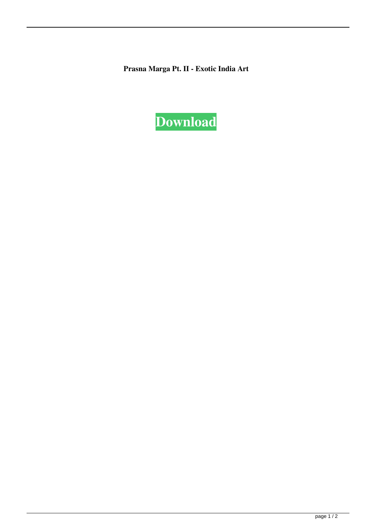**Prasna Marga Pt. II - Exotic India Art**